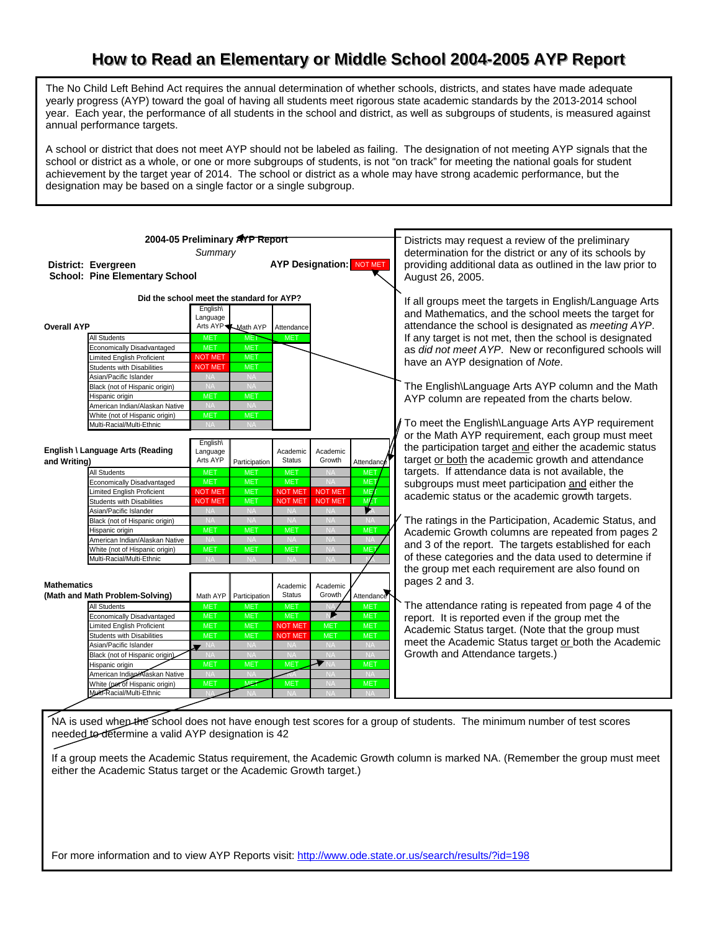## How to Read an Elementary or Middle School 2004-2005 AYP Report

The No Child Left Behind Act requires the annual determination of whether schools, districts, and states have made adequate yearly progress (AYP) toward the goal of having all students meet rigorous state academic standards by the 2013-2014 school year. Each year, the performance of all students in the school and district, as well as subgroups of students, is measured against annual performance targets.

A school or district that does not meet AYP should not be labeled as failing. The designation of not meeting AYP signals that the school or district as a whole, or one or more subgroups of students, is not "on track" for meeting the national goals for student achievement by the target year of 2014. The school or district as a whole may have strong academic performance, but the designation may be based on a single factor or a single subgroup.

|                                                              | 2004-05 Preliminary AYP Report<br>Summary |                         | Districts may request a review of the preliminary<br>determination for the district or any of its schools by |                                                                               |                         |                                                                                                                                                                   |
|--------------------------------------------------------------|-------------------------------------------|-------------------------|--------------------------------------------------------------------------------------------------------------|-------------------------------------------------------------------------------|-------------------------|-------------------------------------------------------------------------------------------------------------------------------------------------------------------|
| District: Evergreen<br><b>School: Pine Elementary School</b> |                                           |                         | <b>AYP Designation: NOT MET</b>                                                                              | providing additional data as outlined in the law prior to<br>August 26, 2005. |                         |                                                                                                                                                                   |
|                                                              | Did the school meet the standard for AYP? |                         | If all groups meet the targets in English/Language Arts                                                      |                                                                               |                         |                                                                                                                                                                   |
| <b>Overall AYP</b>                                           | English\<br>Language<br>Arts AYP          | <b>Math AYP</b>         | Attendance                                                                                                   |                                                                               |                         | and Mathematics, and the school meets the target for<br>attendance the school is designated as meeting AYP.                                                       |
| <b>All Students</b>                                          | <b>MET</b>                                | <b>MET</b>              | <b>MET</b>                                                                                                   |                                                                               |                         | If any target is not met, then the school is designated                                                                                                           |
| Economically Disadvantaged                                   | <b>MET</b>                                | <b>MET</b>              |                                                                                                              |                                                                               |                         | as did not meet AYP. New or reconfigured schools will                                                                                                             |
| <b>Limited English Proficient</b>                            | <b>NOT MET</b>                            | <b>MET</b>              |                                                                                                              |                                                                               |                         | have an AYP designation of Note.                                                                                                                                  |
| <b>Students with Disabilities</b>                            | <b>NOT MET</b>                            | <b>MET</b>              |                                                                                                              |                                                                               |                         |                                                                                                                                                                   |
| Asian/Pacific Islander                                       |                                           | <b>NA</b>               |                                                                                                              |                                                                               |                         |                                                                                                                                                                   |
| Black (not of Hispanic origin)                               | <b>NA</b>                                 | <b>NA</b>               |                                                                                                              |                                                                               |                         | The English\Language Arts AYP column and the Math                                                                                                                 |
| Hispanic origin                                              | <b>MET</b>                                | <b>MET</b>              |                                                                                                              |                                                                               |                         | AYP column are repeated from the charts below.                                                                                                                    |
| American Indian/Alaskan Native                               | <b>NA</b>                                 | <b>NA</b>               |                                                                                                              |                                                                               |                         |                                                                                                                                                                   |
| White (not of Hispanic origin)                               | <b>MET</b>                                | <b>MET</b>              |                                                                                                              |                                                                               |                         |                                                                                                                                                                   |
| Multi-Racial/Multi-Ethnic                                    | <b>NA</b>                                 | <b>NA</b>               |                                                                                                              |                                                                               |                         | To meet the English\Language Arts AYP requirement                                                                                                                 |
| English \ Language Arts (Reading<br>and Writing)             | English\<br>Language<br>Arts AYP          | Participation           | Academic<br><b>Status</b>                                                                                    | Academic<br>Growth                                                            | Attendance              | or the Math AYP requirement, each group must meet<br>the participation target and either the academic status<br>target or both the academic growth and attendance |
| <b>All Students</b>                                          | <b>MET</b>                                | <b>MET</b>              | <b>MET</b>                                                                                                   |                                                                               | MET.                    | targets. If attendance data is not available, the                                                                                                                 |
| Economically Disadvantaged                                   | <b>MET</b>                                | <b>MET</b>              | <b>MET</b>                                                                                                   | <b>NA</b>                                                                     | <b>MET</b>              | subgroups must meet participation and either the                                                                                                                  |
| imited English Proficient                                    | <b>NOT MET</b>                            | <b>MET</b>              | <b>NOT MET</b>                                                                                               | <b>NOT MET</b>                                                                | MET                     | academic status or the academic growth targets.                                                                                                                   |
| <b>Students with Disabilities</b>                            | <b>NOT MET</b>                            | <b>MET</b>              | <b>NOT MET</b>                                                                                               | <b>NOT MET</b>                                                                | <b>MET</b>              |                                                                                                                                                                   |
| Asian/Pacific Islander                                       | <b>NA</b>                                 | <b>NA</b>               | <b>NA</b>                                                                                                    | <b>NA</b>                                                                     | r,                      |                                                                                                                                                                   |
| Black (not of Hispanic origin)                               | <b>NA</b>                                 | <b>NA</b>               | <b>NA</b>                                                                                                    | <b>NA</b>                                                                     | <b>NA</b>               | The ratings in the Participation, Academic Status, and                                                                                                            |
| Hispanic origin                                              | <b>MET</b>                                | <b>MET</b>              | <b>MET</b>                                                                                                   | <b>NA</b>                                                                     | <b>MET</b>              | Academic Growth columns are repeated from pages 2                                                                                                                 |
| American Indian/Alaskan Native                               | <b>NA</b>                                 | <b>NA</b>               | <b>NA</b>                                                                                                    | $N_A$<br><b>NA</b>                                                            | <b>NA</b><br><b>MET</b> | and 3 of the report. The targets established for each                                                                                                             |
| White (not of Hispanic origin)<br>Multi-Racial/Multi-Ethnic  | <b>MET</b><br><b>NA</b>                   | <b>MET</b><br><b>NA</b> | <b>MET</b><br><b>NA</b>                                                                                      | $N_A$                                                                         |                         | of these categories and the data used to determine if                                                                                                             |
|                                                              |                                           |                         |                                                                                                              |                                                                               |                         | the group met each requirement are also found on                                                                                                                  |
| <b>Mathematics</b>                                           |                                           |                         | Academic                                                                                                     | Academic                                                                      |                         | pages 2 and 3.                                                                                                                                                    |
| (Math and Math Problem-Solving)                              |                                           | Math AYP Participation  | <b>Status</b>                                                                                                | Growth                                                                        | Attendance              |                                                                                                                                                                   |
| All Students                                                 | <b>MET</b>                                | <b>MET</b>              | <b>MET</b>                                                                                                   |                                                                               | <b>MET</b>              | The attendance rating is repeated from page 4 of the                                                                                                              |
| Economically Disadvantaged                                   | <b>MET</b>                                | <b>MET</b>              | <b>MET</b>                                                                                                   |                                                                               | <b>MET</b>              | report. It is reported even if the group met the                                                                                                                  |
| imited English Proficient                                    | <b>MET</b>                                | <b>MET</b>              | <b>NOT MET</b>                                                                                               | <b>MET</b>                                                                    | <b>MET</b>              | Academic Status target. (Note that the group must                                                                                                                 |
| <b>Students with Disabilities</b>                            | <b>MET</b>                                | <b>MET</b>              | <b>NOT MET</b>                                                                                               | <b>MET</b>                                                                    | <b>MET</b>              |                                                                                                                                                                   |
| Asian/Pacific Islander                                       | $\rightarrow$ NA                          | <b>NA</b>               | <b>NA</b>                                                                                                    | <b>NA</b>                                                                     | <b>NA</b>               | meet the Academic Status target or both the Academic                                                                                                              |
| Black (not of Hispanic origin)                               | <b>NA</b>                                 | <b>NA</b>               | <b>NA</b>                                                                                                    | <b>NA</b>                                                                     | <b>NA</b>               | Growth and Attendance targets.)                                                                                                                                   |
| Hispanic origin                                              | <b>MET</b>                                | <b>MET</b>              | <b>MET</b>                                                                                                   |                                                                               | <b>MET</b>              |                                                                                                                                                                   |
| American Indian/Alaskan Native                               | <b>NA</b>                                 | <b>NA</b>               |                                                                                                              | <b>NA</b>                                                                     | <b>NA</b>               |                                                                                                                                                                   |
| White (pet of Hispanic origin)                               | <b>MET</b>                                | <b>MET</b>              | <b>MET</b>                                                                                                   | <b>NA</b>                                                                     | <b>MET</b>              |                                                                                                                                                                   |
| <b>Multi-Racial/Multi-Ethnic</b>                             |                                           |                         |                                                                                                              |                                                                               |                         |                                                                                                                                                                   |
|                                                              |                                           |                         |                                                                                                              |                                                                               |                         |                                                                                                                                                                   |

NA is used when the school does not have enough test scores for a group of students. The minimum number of test scores needed to determine a valid AYP designation is 42

If a group meets the Academic Status requirement, the Academic Growth column is marked NA. (Remember the group must meet either the Academic Status target or the Academic Growth target.)

For more information and to view AYP Reports visit:<http://www.ode.state.or.us/search/results/?id=198>